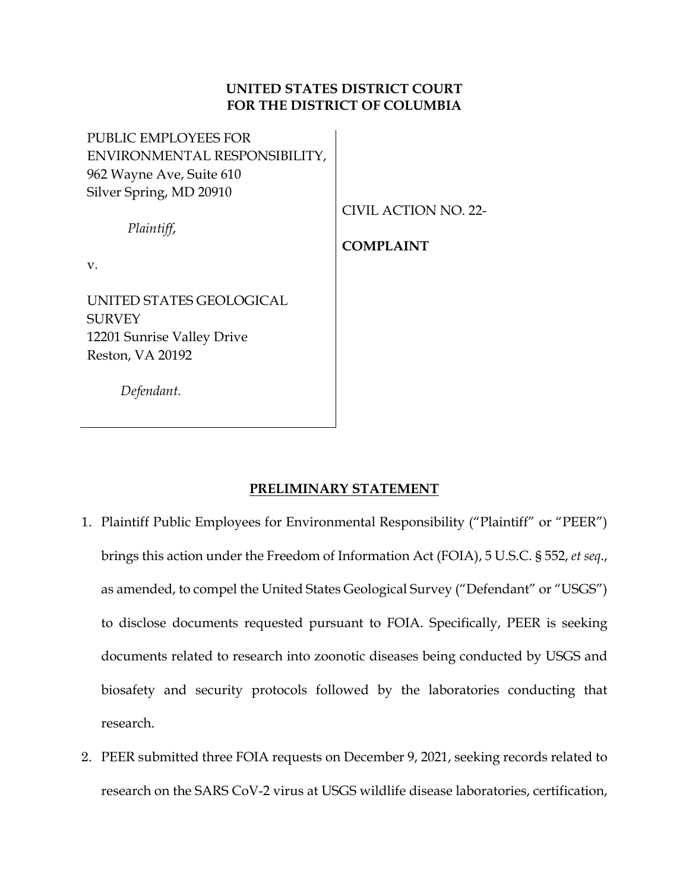# **UNITED STATES DISTRICT COURT FOR THE DISTRICT OF COLUMBIA**

PUBLIC EMPLOYEES FOR ENVIRONMENTAL RESPONSIBILITY, 962 Wayne Ave, Suite 610 Silver Spring, MD 20910

CIVIL ACTION NO. 22-

*Plaintiff*,

**COMPLAINT**

v.

UNITED STATES GEOLOGICAL **SURVEY** 12201 Sunrise Valley Drive Reston, VA 20192

 *Defendant.*

# **PRELIMINARY STATEMENT**

- 1. Plaintiff Public Employees for Environmental Responsibility ("Plaintiff" or "PEER") brings this action under the Freedom of Information Act (FOIA), 5 U.S.C. § 552, *et seq*., as amended, to compel the United States Geological Survey ("Defendant" or "USGS") to disclose documents requested pursuant to FOIA. Specifically, PEER is seeking documents related to research into zoonotic diseases being conducted by USGS and biosafety and security protocols followed by the laboratories conducting that research.
- 2. PEER submitted three FOIA requests on December 9, 2021, seeking records related to research on the SARS CoV-2 virus at USGS wildlife disease laboratories, certification,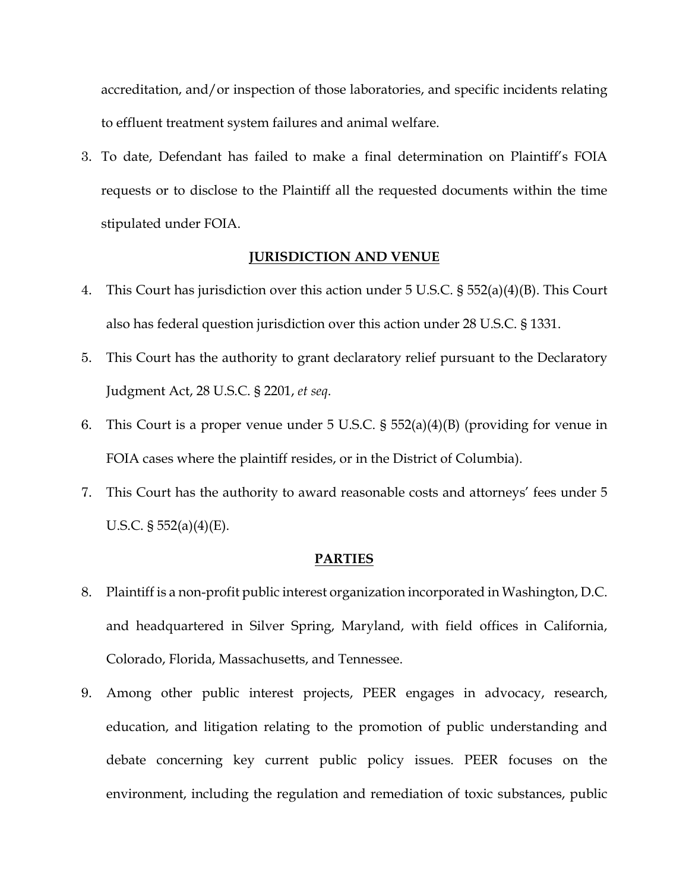accreditation, and/or inspection of those laboratories, and specific incidents relating to effluent treatment system failures and animal welfare.

3. To date, Defendant has failed to make a final determination on Plaintiff's FOIA requests or to disclose to the Plaintiff all the requested documents within the time stipulated under FOIA.

### **JURISDICTION AND VENUE**

- 4. This Court has jurisdiction over this action under 5 U.S.C. § 552(a)(4)(B). This Court also has federal question jurisdiction over this action under 28 U.S.C. § 1331.
- 5. This Court has the authority to grant declaratory relief pursuant to the Declaratory Judgment Act, 28 U.S.C. § 2201, *et seq*.
- 6. This Court is a proper venue under 5 U.S.C. § 552(a)(4)(B) (providing for venue in FOIA cases where the plaintiff resides, or in the District of Columbia).
- 7. This Court has the authority to award reasonable costs and attorneys' fees under 5 U.S.C. § 552(a)(4)(E).

#### **PARTIES**

- 8. Plaintiff is a non-profit public interest organization incorporated in Washington, D.C. and headquartered in Silver Spring, Maryland, with field offices in California, Colorado, Florida, Massachusetts, and Tennessee.
- 9. Among other public interest projects, PEER engages in advocacy, research, education, and litigation relating to the promotion of public understanding and debate concerning key current public policy issues. PEER focuses on the environment, including the regulation and remediation of toxic substances, public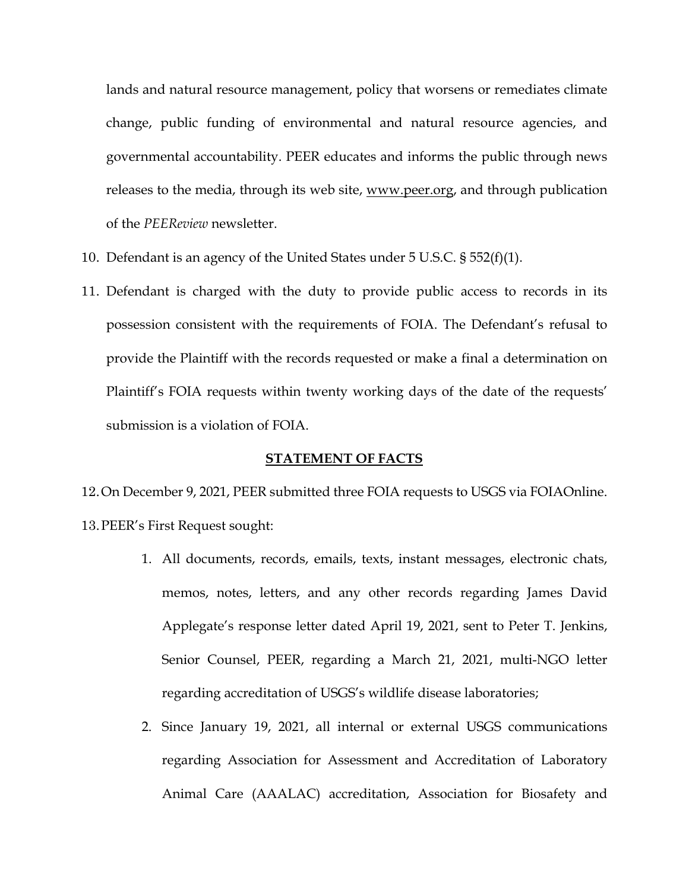lands and natural resource management, policy that worsens or remediates climate change, public funding of environmental and natural resource agencies, and governmental accountability. PEER educates and informs the public through news releases to the media, through its web site, [www.peer.org,](http://www.peer.org/) and through publication of the *PEEReview* newsletter.

- 10. Defendant is an agency of the United States under 5 U.S.C. § 552(f)(1).
- 11. Defendant is charged with the duty to provide public access to records in its possession consistent with the requirements of FOIA. The Defendant's refusal to provide the Plaintiff with the records requested or make a final a determination on Plaintiff's FOIA requests within twenty working days of the date of the requests' submission is a violation of FOIA.

#### **STATEMENT OF FACTS**

- 12.On December 9, 2021, PEER submitted three FOIA requests to USGS via FOIAOnline. 13.PEER's First Request sought:
	- 1. All documents, records, emails, texts, instant messages, electronic chats, memos, notes, letters, and any other records regarding James David Applegate's response letter dated April 19, 2021, sent to Peter T. Jenkins, Senior Counsel, PEER, regarding a March 21, 2021, multi-NGO letter regarding accreditation of USGS's wildlife disease laboratories;
	- 2. Since January 19, 2021, all internal or external USGS communications regarding Association for Assessment and Accreditation of Laboratory Animal Care (AAALAC) accreditation, Association for Biosafety and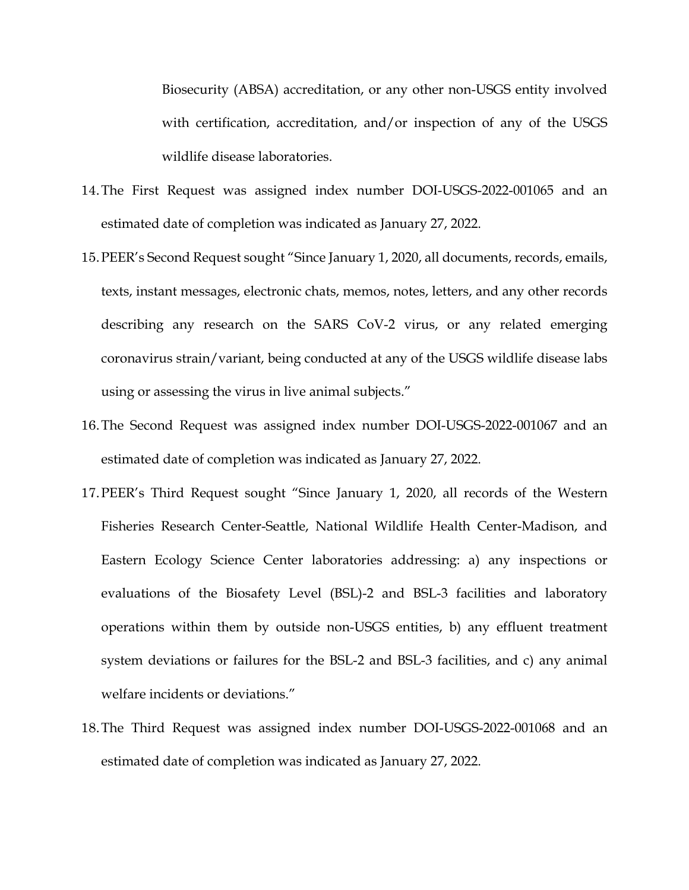Biosecurity (ABSA) accreditation, or any other non-USGS entity involved with certification, accreditation, and/or inspection of any of the USGS wildlife disease laboratories.

- 14.The First Request was assigned index number DOI-USGS-2022-001065 and an estimated date of completion was indicated as January 27, 2022.
- 15.PEER's Second Request sought "Since January 1, 2020, all documents, records, emails, texts, instant messages, electronic chats, memos, notes, letters, and any other records describing any research on the SARS CoV-2 virus, or any related emerging coronavirus strain/variant, being conducted at any of the USGS wildlife disease labs using or assessing the virus in live animal subjects."
- 16.The Second Request was assigned index number DOI-USGS-2022-001067 and an estimated date of completion was indicated as January 27, 2022.
- 17.PEER's Third Request sought "Since January 1, 2020, all records of the Western Fisheries Research Center-Seattle, National Wildlife Health Center-Madison, and Eastern Ecology Science Center laboratories addressing: a) any inspections or evaluations of the Biosafety Level (BSL)-2 and BSL-3 facilities and laboratory operations within them by outside non-USGS entities, b) any effluent treatment system deviations or failures for the BSL-2 and BSL-3 facilities, and c) any animal welfare incidents or deviations."
- 18.The Third Request was assigned index number DOI-USGS-2022-001068 and an estimated date of completion was indicated as January 27, 2022.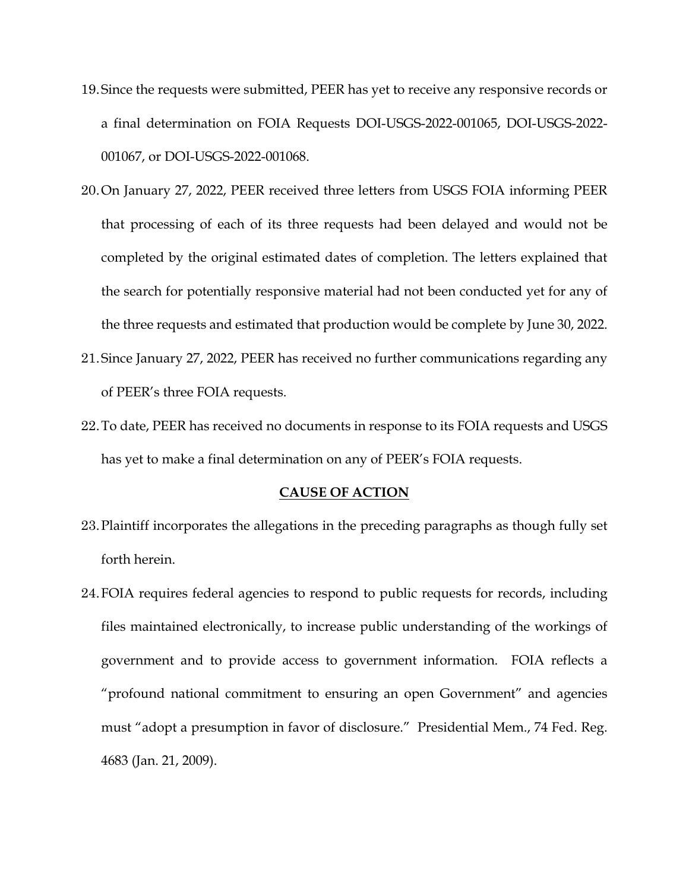- 19.Since the requests were submitted, PEER has yet to receive any responsive records or a final determination on FOIA Requests DOI-USGS-2022-001065, DOI-USGS-2022- 001067, or DOI-USGS-2022-001068.
- 20.On January 27, 2022, PEER received three letters from USGS FOIA informing PEER that processing of each of its three requests had been delayed and would not be completed by the original estimated dates of completion. The letters explained that the search for potentially responsive material had not been conducted yet for any of the three requests and estimated that production would be complete by June 30, 2022.
- 21.Since January 27, 2022, PEER has received no further communications regarding any of PEER's three FOIA requests.
- 22.To date, PEER has received no documents in response to its FOIA requests and USGS has yet to make a final determination on any of PEER's FOIA requests.

#### **CAUSE OF ACTION**

- 23.Plaintiff incorporates the allegations in the preceding paragraphs as though fully set forth herein.
- 24.FOIA requires federal agencies to respond to public requests for records, including files maintained electronically, to increase public understanding of the workings of government and to provide access to government information. FOIA reflects a "profound national commitment to ensuring an open Government" and agencies must "adopt a presumption in favor of disclosure." Presidential Mem., 74 Fed. Reg. 4683 (Jan. 21, 2009).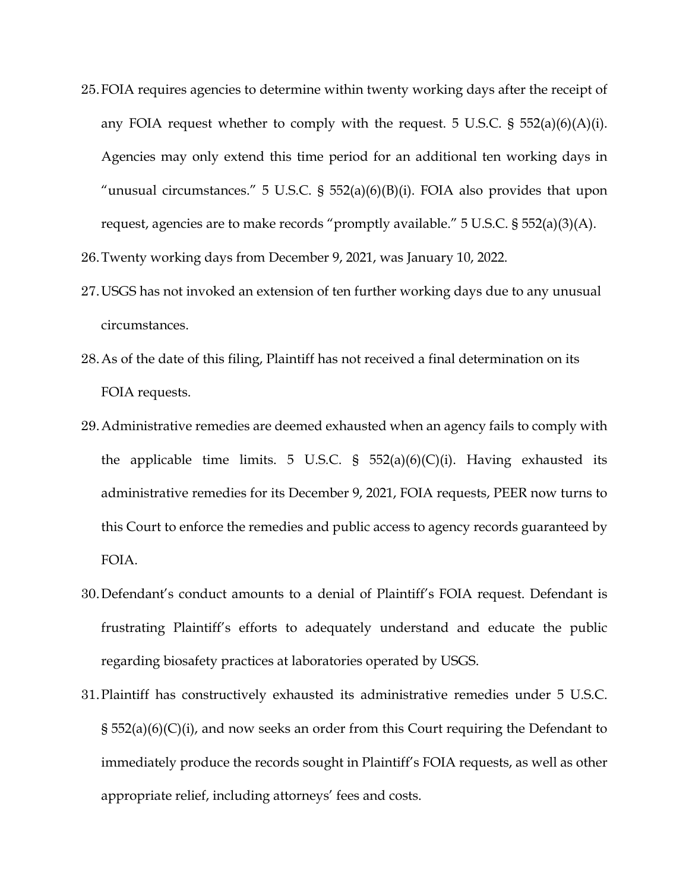- 25.FOIA requires agencies to determine within twenty working days after the receipt of any FOIA request whether to comply with the request. 5 U.S.C.  $\S$  552(a)(6)(A)(i). Agencies may only extend this time period for an additional ten working days in "unusual circumstances." 5 U.S.C. § 552(a)(6)(B)(i). FOIA also provides that upon request, agencies are to make records "promptly available." 5 U.S.C. § 552(a)(3)(A).
- 26.Twenty working days from December 9, 2021, was January 10, 2022.
- 27.USGS has not invoked an extension of ten further working days due to any unusual circumstances.
- 28.As of the date of this filing, Plaintiff has not received a final determination on its FOIA requests.
- 29.Administrative remedies are deemed exhausted when an agency fails to comply with the applicable time limits. 5 U.S.C. §  $552(a)(6)(C)(i)$ . Having exhausted its administrative remedies for its December 9, 2021, FOIA requests, PEER now turns to this Court to enforce the remedies and public access to agency records guaranteed by FOIA.
- 30.Defendant's conduct amounts to a denial of Plaintiff's FOIA request. Defendant is frustrating Plaintiff's efforts to adequately understand and educate the public regarding biosafety practices at laboratories operated by USGS.
- 31.Plaintiff has constructively exhausted its administrative remedies under 5 U.S.C. § 552(a)(6)(C)(i), and now seeks an order from this Court requiring the Defendant to immediately produce the records sought in Plaintiff's FOIA requests, as well as other appropriate relief, including attorneys' fees and costs.